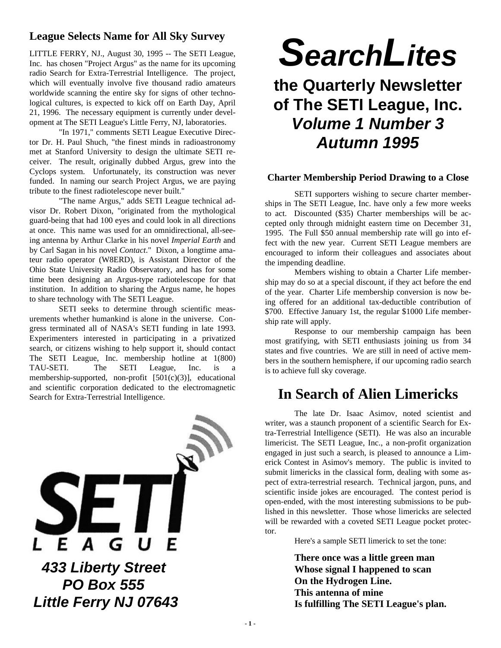#### **League Selects Name for All Sky Survey**

LITTLE FERRY, NJ., August 30, 1995 -- The SETI League, Inc. has chosen "Project Argus" as the name for its upcoming radio Search for Extra-Terrestrial Intelligence. The project, which will eventually involve five thousand radio amateurs worldwide scanning the entire sky for signs of other technological cultures, is expected to kick off on Earth Day, April 21, 1996. The necessary equipment is currently under development at The SETI League's Little Ferry, NJ, laboratories.

"In 1971," comments SETI League Executive Director Dr. H. Paul Shuch, "the finest minds in radioastronomy met at Stanford University to design the ultimate SETI receiver. The result, originally dubbed Argus, grew into the Cyclops system. Unfortunately, its construction was never funded. In naming our search Project Argus, we are paying tribute to the finest radiotelescope never built."

"The name Argus," adds SETI League technical advisor Dr. Robert Dixon, "originated from the mythological guard-being that had 100 eyes and could look in all directions at once. This name was used for an omnidirectional, all-seeing antenna by Arthur Clarke in his novel *Imperial Earth* and by Carl Sagan in his novel *Contact*." Dixon, a longtime amateur radio operator (W8ERD), is Assistant Director of the Ohio State University Radio Observatory, and has for some time been designing an Argus-type radiotelescope for that institution. In addition to sharing the Argus name, he hopes to share technology with The SETI League.

SETI seeks to determine through scientific measurements whether humankind is alone in the universe. Congress terminated all of NASA's SETI funding in late 1993. Experimenters interested in participating in a privatized search, or citizens wishing to help support it, should contact The SETI League, Inc. membership hotline at 1(800) TAU-SETI. The SETI League, Inc. is a membership-supported, non-profit [501(c)(3)], educational and scientific corporation dedicated to the electromagnetic Search for Extra-Terrestrial Intelligence.



# *SearchLites*

# **the Quarterly Newsletter of The SETI League, Inc.** *Volume 1 Number 3 Autumn 1995*

#### **Charter Membership Period Drawing to a Close**

SETI supporters wishing to secure charter memberships in The SETI League, Inc. have only a few more weeks to act. Discounted (\$35) Charter memberships will be accepted only through midnight eastern time on December 31, 1995. The Full \$50 annual membership rate will go into effect with the new year. Current SETI League members are encouraged to inform their colleagues and associates about the impending deadline.

Members wishing to obtain a Charter Life membership may do so at a special discount, if they act before the end of the year. Charter Life membership conversion is now being offered for an additional tax-deductible contribution of \$700. Effective January 1st, the regular \$1000 Life membership rate will apply.

Response to our membership campaign has been most gratifying, with SETI enthusiasts joining us from 34 states and five countries. We are still in need of active members in the southern hemisphere, if our upcoming radio search is to achieve full sky coverage.

# **In Search of Alien Limericks**

The late Dr. Isaac Asimov, noted scientist and writer, was a staunch proponent of a scientific Search for Extra-Terrestrial Intelligence (SETI). He was also an incurable limericist. The SETI League, Inc., a non-profit organization engaged in just such a search, is pleased to announce a Limerick Contest in Asimov's memory. The public is invited to submit limericks in the classical form, dealing with some aspect of extra-terrestrial research. Technical jargon, puns, and scientific inside jokes are encouraged. The contest period is open-ended, with the most interesting submissions to be published in this newsletter. Those whose limericks are selected will be rewarded with a coveted SETI League pocket protector.

Here's a sample SETI limerick to set the tone:

**There once was a little green man Whose signal I happened to scan On the Hydrogen Line. This antenna of mine Is fulfilling The SETI League's plan.**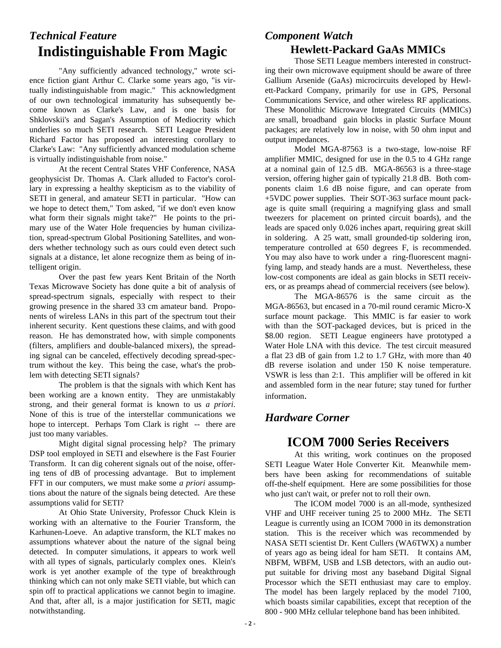## *Technical Feature* **Indistinguishable From Magic**

"Any sufficiently advanced technology," wrote science fiction giant Arthur C. Clarke some years ago, "is virtually indistinguishable from magic." This acknowledgment of our own technological immaturity has subsequently become known as Clarke's Law, and is one basis for Shklovskii's and Sagan's Assumption of Mediocrity which underlies so much SETI research. SETI League President Richard Factor has proposed an interesting corollary to Clarke's Law: "Any sufficiently advanced modulation scheme is virtually indistinguishable from noise."

At the recent Central States VHF Conference, NASA geophysicist Dr. Thomas A. Clark alluded to Factor's corollary in expressing a healthy skepticism as to the viability of SETI in general, and amateur SETI in particular. "How can we hope to detect them," Tom asked, "if we don't even know what form their signals might take?" He points to the primary use of the Water Hole frequencies by human civilization, spread-spectrum Global Positioning Satellites, and wonders whether technology such as ours could even detect such signals at a distance, let alone recognize them as being of intelligent origin.

Over the past few years Kent Britain of the North Texas Microwave Society has done quite a bit of analysis of spread-spectrum signals, especially with respect to their growing presence in the shared 33 cm amateur band. Proponents of wireless LANs in this part of the spectrum tout their inherent security. Kent questions these claims, and with good reason. He has demonstrated how, with simple components (filters, amplifiers and double-balanced mixers), the spreading signal can be canceled, effectively decoding spread-spectrum without the key. This being the case, what's the problem with detecting SETI signals?

The problem is that the signals with which Kent has been working are a known entity. They are unmistakably strong, and their general format is known to us *a priori*. None of this is true of the interstellar communications we hope to intercept. Perhaps Tom Clark is right -- there are just too many variables.

Might digital signal processing help? The primary DSP tool employed in SETI and elsewhere is the Fast Fourier Transform. It can dig coherent signals out of the noise, offering tens of dB of processing advantage. But to implement FFT in our computers, we must make some *a priori* assumptions about the nature of the signals being detected. Are these assumptions valid for SETI?

At Ohio State University, Professor Chuck Klein is working with an alternative to the Fourier Transform, the Karhunen-Loeve. An adaptive transform, the KLT makes no assumptions whatever about the nature of the signal being detected. In computer simulations, it appears to work well with all types of signals, particularly complex ones. Klein's work is yet another example of the type of breakthrough thinking which can not only make SETI viable, but which can spin off to practical applications we cannot begin to imagine. And that, after all, is a major justification for SETI, magic notwithstanding.

#### *Component Watch* **Hewlett-Packard GaAs MMICs**

Those SETI League members interested in constructing their own microwave equipment should be aware of three Gallium Arsenide (GaAs) microcircuits developed by Hewlett-Packard Company, primarily for use in GPS, Personal Communications Service, and other wireless RF applications. These Monolithic Microwave Integrated Circuits (MMICs) are small, broadband gain blocks in plastic Surface Mount packages; are relatively low in noise, with 50 ohm input and output impedances.

Model MGA-87563 is a two-stage, low-noise RF amplifier MMIC, designed for use in the 0.5 to 4 GHz range at a nominal gain of 12.5 dB. MGA-86563 is a three-stage version, offering higher gain of typically 21.8 dB. Both components claim 1.6 dB noise figure, and can operate from +5VDC power supplies. Their SOT-363 surface mount package is quite small (requiring a magnifying glass and small tweezers for placement on printed circuit boards), and the leads are spaced only 0.026 inches apart, requiring great skill in soldering. A 25 watt, small grounded-tip soldering iron, temperature controlled at 650 degrees F, is recommended. You may also have to work under a ring-fluorescent magnifying lamp, and steady hands are a must. Nevertheless, these low-cost components are ideal as gain blocks in SETI receivers, or as preamps ahead of commercial receivers (see below).

The MGA-86576 is the same circuit as the MGA-86563, but encased in a 70-mil round ceramic Micro-X surface mount package. This MMIC is far easier to work with than the SOT-packaged devices, but is priced in the \$8.00 region. SETI League engineers have prototyped a Water Hole LNA with this device. The test circuit measured a flat 23 dB of gain from 1.2 to 1.7 GHz, with more than 40 dB reverse isolation and under 150 K noise temperature. VSWR is less than 2:1. This amplifier will be offered in kit and assembled form in the near future; stay tuned for further information.

#### *Hardware Corner*

## **ICOM 7000 Series Receivers**

At this writing, work continues on the proposed SETI League Water Hole Converter Kit. Meanwhile members have been asking for recommendations of suitable off-the-shelf equipment. Here are some possibilities for those who just can't wait, or prefer not to roll their own.

The ICOM model 7000 is an all-mode, synthesized VHF and UHF receiver tuning 25 to 2000 MHz. The SETI League is currently using an ICOM 7000 in its demonstration station. This is the receiver which was recommended by NASA SETI scientist Dr. Kent Cullers (WA6TWX) a number of years ago as being ideal for ham SETI. It contains AM, NBFM, WBFM, USB and LSB detectors, with an audio output suitable for driving most any baseband Digital Signal Processor which the SETI enthusiast may care to employ. The model has been largely replaced by the model 7100, which boasts similar capabilities, except that reception of the 800 - 900 MHz cellular telephone band has been inhibited.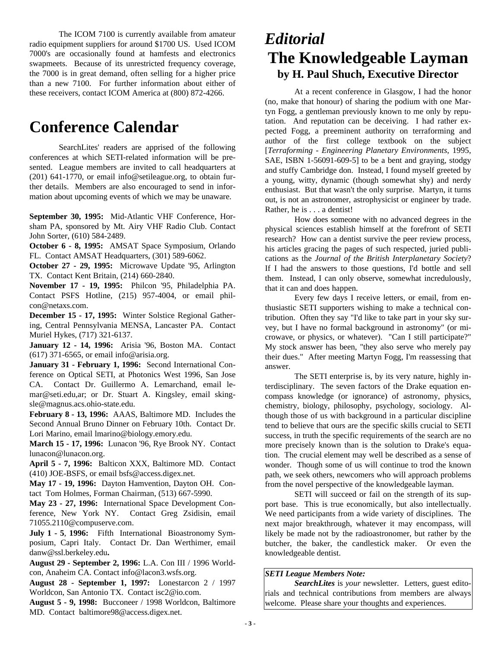The ICOM 7100 is currently available from amateur radio equipment suppliers for around \$1700 US. Used ICOM 7000's are occasionally found at hamfests and electronics swapmeets. Because of its unrestricted frequency coverage, the 7000 is in great demand, often selling for a higher price than a new 7100. For further information about either of these receivers, contact ICOM America at (800) 872-4266.

# **Conference Calendar**

SearchLites' readers are apprised of the following conferences at which SETI-related information will be presented. League members are invited to call headquarters at (201) 641-1770, or email info@setileague.org, to obtain further details. Members are also encouraged to send in information about upcoming events of which we may be unaware.

**September 30, 1995:** Mid-Atlantic VHF Conference, Horsham PA, sponsored by Mt. Airy VHF Radio Club. Contact John Sorter, (610) 584-2489.

**October 6 - 8, 1995:** AMSAT Space Symposium, Orlando FL. Contact AMSAT Headquarters, (301) 589-6062.

**October 27 - 29, 1995:** Microwave Update '95, Arlington TX. Contact Kent Britain, (214) 660-2840.

**November 17 - 19, 1995:** Philcon '95, Philadelphia PA. Contact PSFS Hotline, (215) 957-4004, or email philcon@netaxs.com.

**December 15 - 17, 1995:** Winter Solstice Regional Gathering, Central Pennsylvania MENSA, Lancaster PA. Contact Muriel Hykes, (717) 321-6137.

**January 12 - 14, 1996:** Arisia '96, Boston MA. Contact (617) 371-6565, or email info@arisia.org.

**January 31 - February 1, 1996:** Second International Conference on Optical SETI, at Photonics West 1996, San Jose CA. Contact Dr. Guillermo A. Lemarchand, email lemar@seti.edu,ar; or Dr. Stuart A. Kingsley, email skingsle@magnus.acs.ohio-state.edu.

**February 8 - 13, 1996:** AAAS, Baltimore MD. Includes the Second Annual Bruno Dinner on February 10th. Contact Dr. Lori Marino, email lmarino@biology.emory.edu.

**March 15 - 17, 1996:** Lunacon '96, Rye Brook NY. Contact lunacon@lunacon.org.

**April 5 - 7, 1996:** Balticon XXX, Baltimore MD. Contact (410) JOE-BSFS, or email bsfs@access.digex.net.

**May 17 - 19, 1996:** Dayton Hamvention, Dayton OH. Contact Tom Holmes, Forman Chairman, (513) 667-5990.

**May 23 - 27, 1996:** International Space Development Conference, New York NY. Contact Greg Zsidisin, email 71055.2110@compuserve.com.

**July 1 - 5**, **1996:** Fifth International Bioastronomy Symposium, Capri Italy. Contact Dr. Dan Werthimer, email danw@ssl.berkeley.edu**.**

**August 29 - September 2, 1996:** L.A. Con III / 1996 Worldcon, Anaheim CA. Contact info@lacon3.wsfs.org.

**August 28 - September 1, 1997:** Lonestarcon 2 / 1997 Worldcon, San Antonio TX. Contact isc2@io.com.

**August 5 - 9, 1998:** Bucconeer / 1998 Worldcon, Baltimore MD. Contact baltimore98@access.digex.net.

# *Editorial* **The Knowledgeable Layman by H. Paul Shuch, Executive Director**

At a recent conference in Glasgow, I had the honor (no, make that honour) of sharing the podium with one Martyn Fogg, a gentleman previously known to me only by reputation. And reputation can be deceiving. I had rather expected Fogg, a preeminent authority on terraforming and author of the first college textbook on the subject [*Terraforming - Engineering Planetary Environments*, 1995, SAE, ISBN 1-56091-609-5] to be a bent and graying, stodgy and stuffy Cambridge don. Instead, I found myself greeted by a young, witty, dynamic (though somewhat shy) and nerdy enthusiast. But that wasn't the only surprise. Martyn, it turns out, is not an astronomer, astrophysicist or engineer by trade. Rather, he is . . . a dentist!

How does someone with no advanced degrees in the physical sciences establish himself at the forefront of SETI research? How can a dentist survive the peer review process, his articles gracing the pages of such respected, juried publications as the *Journal of the British Interplanetary Society*? If I had the answers to those questions, I'd bottle and sell them. Instead, I can only observe, somewhat incredulously, that it can and does happen.

Every few days I receive letters, or email, from enthusiastic SETI supporters wishing to make a technical contribution. Often they say "I'd like to take part in your sky survey, but I have no formal background in astronomy" (or microwave, or physics, or whatever). "Can I still participate?" My stock answer has been, "they also serve who merely pay their dues." After meeting Martyn Fogg, I'm reassessing that answer.

The SETI enterprise is, by its very nature, highly interdisciplinary. The seven factors of the Drake equation encompass knowledge (or ignorance) of astronomy, physics, chemistry, biology, philosophy, psychology, sociology. Although those of us with background in a particular discipline tend to believe that ours are the specific skills crucial to SETI success, in truth the specific requirements of the search are no more precisely known than is the solution to Drake's equation. The crucial element may well be described as a sense of wonder. Though some of us will continue to trod the known path, we seek others, newcomers who will approach problems from the novel perspective of the knowledgeable layman.

SETI will succeed or fail on the strength of its support base. This is true economically, but also intellectually. We need participants from a wide variety of disciplines. The next major breakthrough, whatever it may encompass, will likely be made not by the radioastronomer, but rather by the butcher, the baker, the candlestick maker. Or even the knowledgeable dentist.

#### *SETI League Members Note:*

*SearchLites* is *your* newsletter. Letters, guest editorials and technical contributions from members are always welcome.Please share your thoughts and experiences.